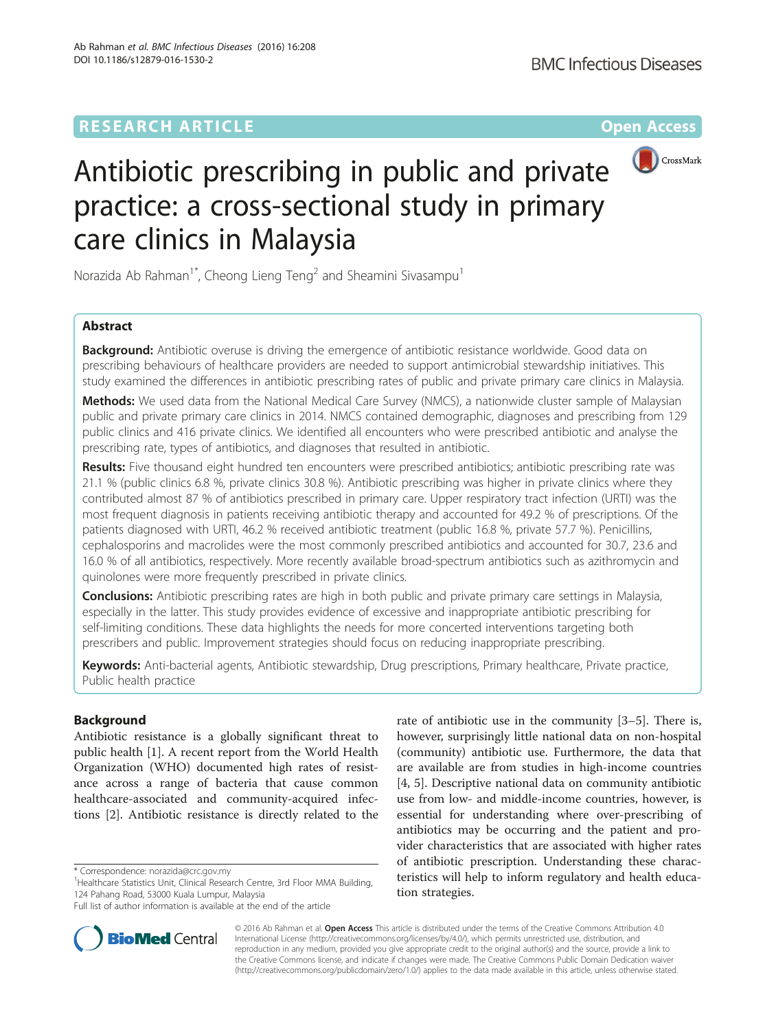

# Antibiotic prescribing in public and private practice: a cross-sectional study in primary care clinics in Malaysia

Norazida Ab Rahman<sup>1\*</sup>, Cheong Lieng Teng<sup>2</sup> and Sheamini Sivasampu<sup>1</sup>

# Abstract

**Background:** Antibiotic overuse is driving the emergence of antibiotic resistance worldwide. Good data on prescribing behaviours of healthcare providers are needed to support antimicrobial stewardship initiatives. This study examined the differences in antibiotic prescribing rates of public and private primary care clinics in Malaysia.

Methods: We used data from the National Medical Care Survey (NMCS), a nationwide cluster sample of Malaysian public and private primary care clinics in 2014. NMCS contained demographic, diagnoses and prescribing from 129 public clinics and 416 private clinics. We identified all encounters who were prescribed antibiotic and analyse the prescribing rate, types of antibiotics, and diagnoses that resulted in antibiotic.

Results: Five thousand eight hundred ten encounters were prescribed antibiotics; antibiotic prescribing rate was 21.1 % (public clinics 6.8 %, private clinics 30.8 %). Antibiotic prescribing was higher in private clinics where they contributed almost 87 % of antibiotics prescribed in primary care. Upper respiratory tract infection (URTI) was the most frequent diagnosis in patients receiving antibiotic therapy and accounted for 49.2 % of prescriptions. Of the patients diagnosed with URTI, 46.2 % received antibiotic treatment (public 16.8 %, private 57.7 %). Penicillins, cephalosporins and macrolides were the most commonly prescribed antibiotics and accounted for 30.7, 23.6 and 16.0 % of all antibiotics, respectively. More recently available broad-spectrum antibiotics such as azithromycin and quinolones were more frequently prescribed in private clinics.

**Conclusions:** Antibiotic prescribing rates are high in both public and private primary care settings in Malaysia, especially in the latter. This study provides evidence of excessive and inappropriate antibiotic prescribing for self-limiting conditions. These data highlights the needs for more concerted interventions targeting both prescribers and public. Improvement strategies should focus on reducing inappropriate prescribing.

Keywords: Anti-bacterial agents, Antibiotic stewardship, Drug prescriptions, Primary healthcare, Private practice, Public health practice

## Background

Antibiotic resistance is a globally significant threat to public health [[1\]](#page-6-0). A recent report from the World Health Organization (WHO) documented high rates of resistance across a range of bacteria that cause common healthcare-associated and community-acquired infections [\[2](#page-6-0)]. Antibiotic resistance is directly related to the

\* Correspondence: [norazida@crc.gov.my](mailto:norazida@crc.gov.my) <sup>1</sup>



**BioMed** Central

© 2016 Ab Rahman et al. Open Access This article is distributed under the terms of the Creative Commons Attribution 4.0 International License [\(http://creativecommons.org/licenses/by/4.0/](http://creativecommons.org/licenses/by/4.0/)), which permits unrestricted use, distribution, and reproduction in any medium, provided you give appropriate credit to the original author(s) and the source, provide a link to the Creative Commons license, and indicate if changes were made. The Creative Commons Public Domain Dedication waiver [\(http://creativecommons.org/publicdomain/zero/1.0/](http://creativecommons.org/publicdomain/zero/1.0/)) applies to the data made available in this article, unless otherwise stated.

<sup>&</sup>lt;sup>1</sup>Healthcare Statistics Unit, Clinical Research Centre, 3rd Floor MMA Building, 124 Pahang Road, 53000 Kuala Lumpur, Malaysia

Full list of author information is available at the end of the article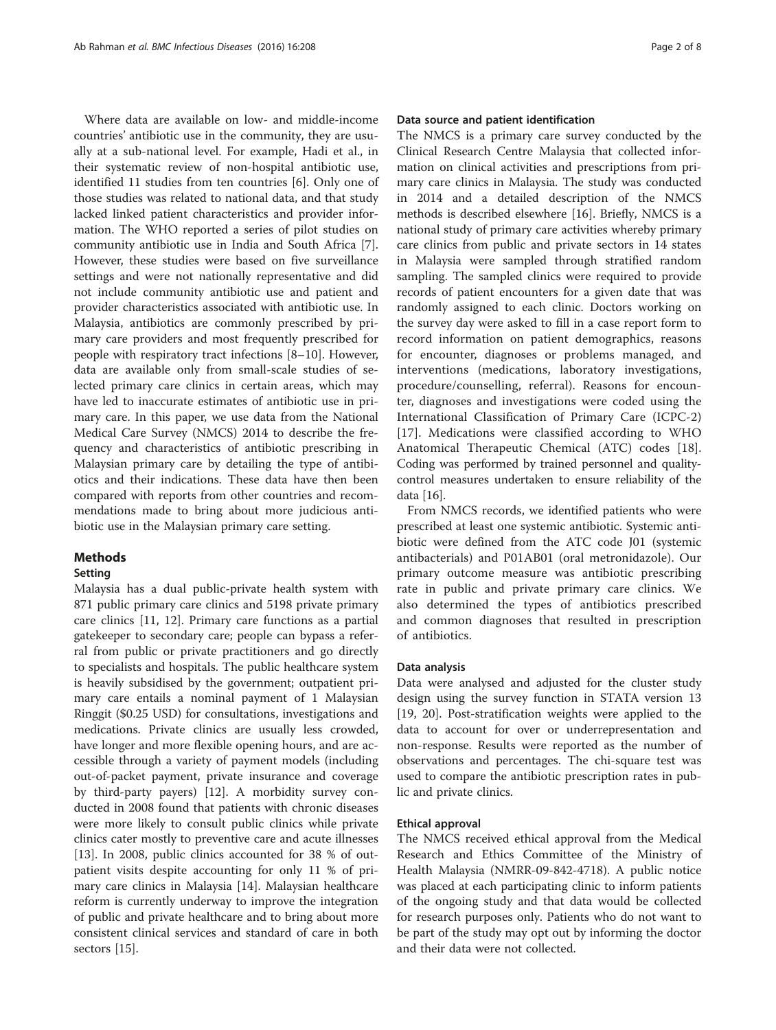Where data are available on low- and middle-income countries' antibiotic use in the community, they are usually at a sub-national level. For example, Hadi et al., in their systematic review of non-hospital antibiotic use, identified 11 studies from ten countries [\[6](#page-6-0)]. Only one of those studies was related to national data, and that study lacked linked patient characteristics and provider information. The WHO reported a series of pilot studies on community antibiotic use in India and South Africa [\[7](#page-6-0)]. However, these studies were based on five surveillance settings and were not nationally representative and did not include community antibiotic use and patient and provider characteristics associated with antibiotic use. In Malaysia, antibiotics are commonly prescribed by primary care providers and most frequently prescribed for people with respiratory tract infections [\[8](#page-6-0)–[10](#page-6-0)]. However, data are available only from small-scale studies of selected primary care clinics in certain areas, which may have led to inaccurate estimates of antibiotic use in primary care. In this paper, we use data from the National Medical Care Survey (NMCS) 2014 to describe the frequency and characteristics of antibiotic prescribing in Malaysian primary care by detailing the type of antibiotics and their indications. These data have then been compared with reports from other countries and recommendations made to bring about more judicious antibiotic use in the Malaysian primary care setting.

## **Methods**

## **Setting**

Malaysia has a dual public-private health system with 871 public primary care clinics and 5198 private primary care clinics [\[11](#page-6-0), [12\]](#page-6-0). Primary care functions as a partial gatekeeper to secondary care; people can bypass a referral from public or private practitioners and go directly to specialists and hospitals. The public healthcare system is heavily subsidised by the government; outpatient primary care entails a nominal payment of 1 Malaysian Ringgit (\$0.25 USD) for consultations, investigations and medications. Private clinics are usually less crowded, have longer and more flexible opening hours, and are accessible through a variety of payment models (including out-of-packet payment, private insurance and coverage by third-party payers) [\[12](#page-6-0)]. A morbidity survey conducted in 2008 found that patients with chronic diseases were more likely to consult public clinics while private clinics cater mostly to preventive care and acute illnesses [[13\]](#page-6-0). In 2008, public clinics accounted for 38 % of outpatient visits despite accounting for only 11 % of primary care clinics in Malaysia [\[14\]](#page-6-0). Malaysian healthcare reform is currently underway to improve the integration of public and private healthcare and to bring about more consistent clinical services and standard of care in both sectors [\[15](#page-6-0)].

#### Data source and patient identification

The NMCS is a primary care survey conducted by the Clinical Research Centre Malaysia that collected information on clinical activities and prescriptions from primary care clinics in Malaysia. The study was conducted in 2014 and a detailed description of the NMCS methods is described elsewhere [[16\]](#page-6-0). Briefly, NMCS is a national study of primary care activities whereby primary care clinics from public and private sectors in 14 states in Malaysia were sampled through stratified random sampling. The sampled clinics were required to provide records of patient encounters for a given date that was randomly assigned to each clinic. Doctors working on the survey day were asked to fill in a case report form to record information on patient demographics, reasons for encounter, diagnoses or problems managed, and interventions (medications, laboratory investigations, procedure/counselling, referral). Reasons for encounter, diagnoses and investigations were coded using the International Classification of Primary Care (ICPC-2) [[17](#page-6-0)]. Medications were classified according to WHO Anatomical Therapeutic Chemical (ATC) codes [\[18](#page-6-0)]. Coding was performed by trained personnel and qualitycontrol measures undertaken to ensure reliability of the data [\[16\]](#page-6-0).

From NMCS records, we identified patients who were prescribed at least one systemic antibiotic. Systemic antibiotic were defined from the ATC code J01 (systemic antibacterials) and P01AB01 (oral metronidazole). Our primary outcome measure was antibiotic prescribing rate in public and private primary care clinics. We also determined the types of antibiotics prescribed and common diagnoses that resulted in prescription of antibiotics.

#### Data analysis

Data were analysed and adjusted for the cluster study design using the survey function in STATA version 13 [[19, 20](#page-6-0)]. Post-stratification weights were applied to the data to account for over or underrepresentation and non-response. Results were reported as the number of observations and percentages. The chi-square test was used to compare the antibiotic prescription rates in public and private clinics.

#### Ethical approval

The NMCS received ethical approval from the Medical Research and Ethics Committee of the Ministry of Health Malaysia (NMRR-09-842-4718). A public notice was placed at each participating clinic to inform patients of the ongoing study and that data would be collected for research purposes only. Patients who do not want to be part of the study may opt out by informing the doctor and their data were not collected.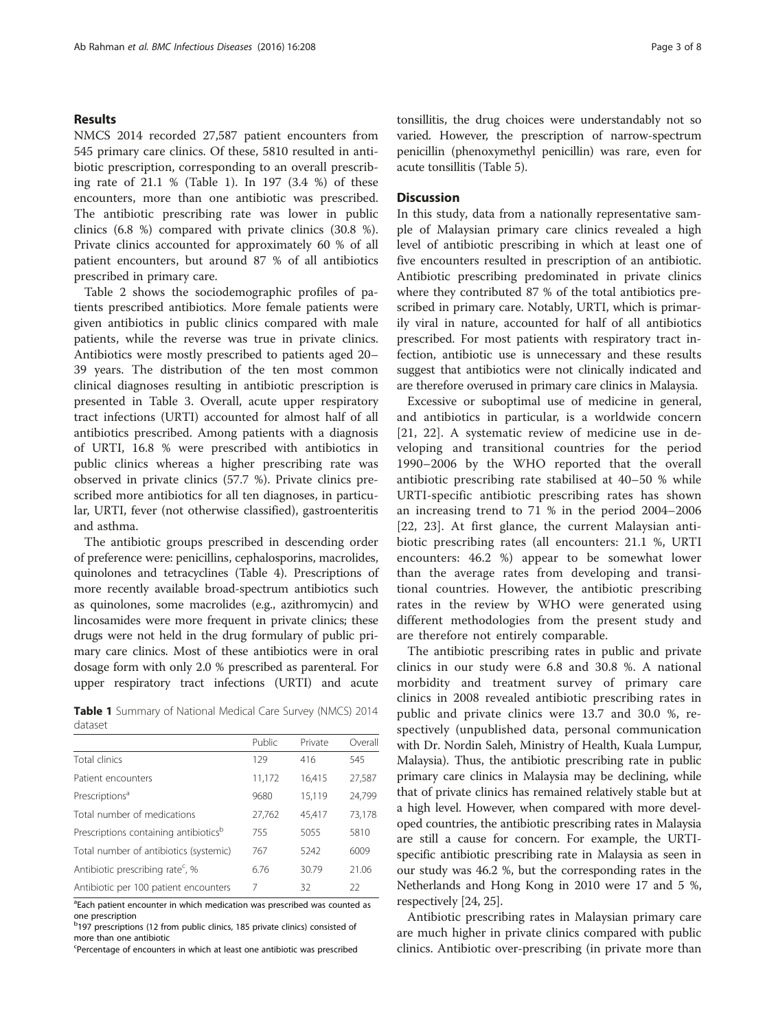## Results

NMCS 2014 recorded 27,587 patient encounters from 545 primary care clinics. Of these, 5810 resulted in antibiotic prescription, corresponding to an overall prescribing rate of 21.1 % (Table 1). In 197 (3.4 %) of these encounters, more than one antibiotic was prescribed. The antibiotic prescribing rate was lower in public clinics (6.8 %) compared with private clinics (30.8 %). Private clinics accounted for approximately 60 % of all patient encounters, but around 87 % of all antibiotics prescribed in primary care.

Table [2](#page-3-0) shows the sociodemographic profiles of patients prescribed antibiotics. More female patients were given antibiotics in public clinics compared with male patients, while the reverse was true in private clinics. Antibiotics were mostly prescribed to patients aged 20– 39 years. The distribution of the ten most common clinical diagnoses resulting in antibiotic prescription is presented in Table [3.](#page-3-0) Overall, acute upper respiratory tract infections (URTI) accounted for almost half of all antibiotics prescribed. Among patients with a diagnosis of URTI, 16.8 % were prescribed with antibiotics in public clinics whereas a higher prescribing rate was observed in private clinics (57.7 %). Private clinics prescribed more antibiotics for all ten diagnoses, in particular, URTI, fever (not otherwise classified), gastroenteritis and asthma.

The antibiotic groups prescribed in descending order of preference were: penicillins, cephalosporins, macrolides, quinolones and tetracyclines (Table [4](#page-4-0)). Prescriptions of more recently available broad-spectrum antibiotics such as quinolones, some macrolides (e.g., azithromycin) and lincosamides were more frequent in private clinics; these drugs were not held in the drug formulary of public primary care clinics. Most of these antibiotics were in oral dosage form with only 2.0 % prescribed as parenteral. For upper respiratory tract infections (URTI) and acute

Table 1 Summary of National Medical Care Survey (NMCS) 2014 dataset

|                                                   | Public | Private | Overall |
|---------------------------------------------------|--------|---------|---------|
| Total clinics                                     | 129    | 416     | 545     |
| Patient encounters                                | 11,172 | 16,415  | 27,587  |
| Prescriptions <sup>a</sup>                        | 9680   | 15,119  | 24,799  |
| Total number of medications                       | 27,762 | 45,417  | 73,178  |
| Prescriptions containing antibiotics <sup>b</sup> | 755    | 5055    | 5810    |
| Total number of antibiotics (systemic)            | 767    | 5242    | 6009    |
| Antibiotic prescribing rate <sup>c</sup> , %      | 6.76   | 30.79   | 21.06   |
| Antibiotic per 100 patient encounters             | 7      | 32      | 22      |

<sup>a</sup>Each patient encounter in which medication was prescribed was counted as one prescription

<sup>b</sup>197 prescriptions (12 from public clinics, 185 private clinics) consisted of more than one antibiotic

Percentage of encounters in which at least one antibiotic was prescribed

tonsillitis, the drug choices were understandably not so varied. However, the prescription of narrow-spectrum penicillin (phenoxymethyl penicillin) was rare, even for acute tonsillitis (Table [5\)](#page-5-0).

## **Discussion**

In this study, data from a nationally representative sample of Malaysian primary care clinics revealed a high level of antibiotic prescribing in which at least one of five encounters resulted in prescription of an antibiotic. Antibiotic prescribing predominated in private clinics where they contributed 87 % of the total antibiotics prescribed in primary care. Notably, URTI, which is primarily viral in nature, accounted for half of all antibiotics prescribed. For most patients with respiratory tract infection, antibiotic use is unnecessary and these results suggest that antibiotics were not clinically indicated and are therefore overused in primary care clinics in Malaysia.

Excessive or suboptimal use of medicine in general, and antibiotics in particular, is a worldwide concern [[21, 22](#page-6-0)]. A systematic review of medicine use in developing and transitional countries for the period 1990–2006 by the WHO reported that the overall antibiotic prescribing rate stabilised at 40–50 % while URTI-specific antibiotic prescribing rates has shown an increasing trend to 71 % in the period 2004–2006 [[22, 23\]](#page-6-0). At first glance, the current Malaysian antibiotic prescribing rates (all encounters: 21.1 %, URTI encounters: 46.2 %) appear to be somewhat lower than the average rates from developing and transitional countries. However, the antibiotic prescribing rates in the review by WHO were generated using different methodologies from the present study and are therefore not entirely comparable.

The antibiotic prescribing rates in public and private clinics in our study were 6.8 and 30.8 %. A national morbidity and treatment survey of primary care clinics in 2008 revealed antibiotic prescribing rates in public and private clinics were 13.7 and 30.0 %, respectively (unpublished data, personal communication with Dr. Nordin Saleh, Ministry of Health, Kuala Lumpur, Malaysia). Thus, the antibiotic prescribing rate in public primary care clinics in Malaysia may be declining, while that of private clinics has remained relatively stable but at a high level. However, when compared with more developed countries, the antibiotic prescribing rates in Malaysia are still a cause for concern. For example, the URTIspecific antibiotic prescribing rate in Malaysia as seen in our study was 46.2 %, but the corresponding rates in the Netherlands and Hong Kong in 2010 were 17 and 5 %, respectively [[24, 25\]](#page-6-0).

Antibiotic prescribing rates in Malaysian primary care are much higher in private clinics compared with public clinics. Antibiotic over-prescribing (in private more than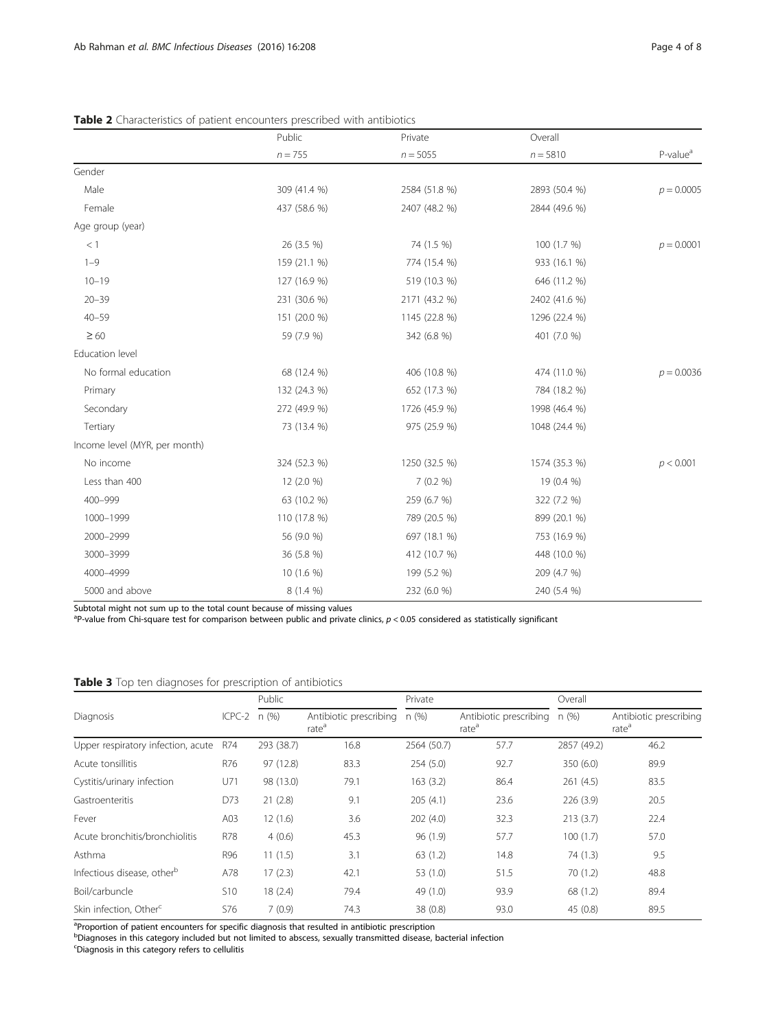|                               | Public       | Private       | Overall       |                      |
|-------------------------------|--------------|---------------|---------------|----------------------|
|                               | $n = 755$    | $n = 5055$    | $n = 5810$    | P-value <sup>a</sup> |
| Gender                        |              |               |               |                      |
| Male                          | 309 (41.4 %) | 2584 (51.8 %) | 2893 (50.4 %) | $p = 0.0005$         |
| Female                        | 437 (58.6 %) | 2407 (48.2 %) | 2844 (49.6 %) |                      |
| Age group (year)              |              |               |               |                      |
| $<1\,$                        | 26 (3.5 %)   | 74 (1.5 %)    | 100 (1.7 %)   | $p = 0.0001$         |
| $1 - 9$                       | 159 (21.1 %) | 774 (15.4 %)  | 933 (16.1 %)  |                      |
| $10 - 19$                     | 127 (16.9 %) | 519 (10.3 %)  | 646 (11.2 %)  |                      |
| $20 - 39$                     | 231 (30.6 %) | 2171 (43.2 %) | 2402 (41.6 %) |                      |
| $40 - 59$                     | 151 (20.0 %) | 1145 (22.8 %) | 1296 (22.4 %) |                      |
| $\geq 60$                     | 59 (7.9 %)   | 342 (6.8 %)   | 401 (7.0 %)   |                      |
| Education level               |              |               |               |                      |
| No formal education           | 68 (12.4 %)  | 406 (10.8 %)  | 474 (11.0 %)  | $p = 0.0036$         |
| Primary                       | 132 (24.3 %) | 652 (17.3 %)  | 784 (18.2 %)  |                      |
| Secondary                     | 272 (49.9 %) | 1726 (45.9 %) | 1998 (46.4 %) |                      |
| Tertiary                      | 73 (13.4 %)  | 975 (25.9 %)  | 1048 (24.4 %) |                      |
| Income level (MYR, per month) |              |               |               |                      |
| No income                     | 324 (52.3 %) | 1250 (32.5 %) | 1574 (35.3 %) | p < 0.001            |
| Less than 400                 | 12 (2.0 %)   | 7(0.2%        | 19 (0.4 %)    |                      |
| 400-999                       | 63 (10.2 %)  | 259 (6.7 %)   | 322 (7.2 %)   |                      |
| 1000-1999                     | 110 (17.8 %) | 789 (20.5 %)  | 899 (20.1 %)  |                      |
| 2000-2999                     | 56 (9.0 %)   | 697 (18.1 %)  | 753 (16.9 %)  |                      |
| 3000-3999                     | 36 (5.8 %)   | 412 (10.7 %)  | 448 (10.0 %)  |                      |
| 4000-4999                     | 10 (1.6 %)   | 199 (5.2 %)   | 209 (4.7 %)   |                      |
| 5000 and above                | 8 (1.4 %)    | 232 (6.0 %)   | 240 (5.4 %)   |                      |

<span id="page-3-0"></span>Table 2 Characteristics of patient encounters prescribed with antibiotics

Subtotal might not sum up to the total count because of missing values<br><sup>a</sup>P-value from Chi-square test for comparison between public and private clinics, p < 0.05 considered as statistically significant

|                                        | ICPC-2     | Public     |                                             | Private     |                                             | Overall     |                                             |
|----------------------------------------|------------|------------|---------------------------------------------|-------------|---------------------------------------------|-------------|---------------------------------------------|
| Diagnosis                              |            | n(%)       | Antibiotic prescribing<br>rate <sup>d</sup> | n(% )       | Antibiotic prescribing<br>rate <sup>d</sup> | n(%)        | Antibiotic prescribing<br>rate <sup>d</sup> |
| Upper respiratory infection, acute     | R74        | 293 (38.7) | 16.8                                        | 2564 (50.7) | 57.7                                        | 2857 (49.2) | 46.2                                        |
| Acute tonsillitis                      | R76        | 97 (12.8)  | 83.3                                        | 254(5.0)    | 92.7                                        | 350 (6.0)   | 89.9                                        |
| Cystitis/urinary infection             | U71        | 98 (13.0)  | 79.1                                        | 163(3.2)    | 86.4                                        | 261(4.5)    | 83.5                                        |
| Gastroenteritis                        | D73        | 21(2.8)    | 9.1                                         | 205(4.1)    | 23.6                                        | 226(3.9)    | 20.5                                        |
| Fever                                  | A03        | 12(1.6)    | 3.6                                         | 202(4.0)    | 32.3                                        | 213(3.7)    | 22.4                                        |
| Acute bronchitis/bronchiolitis         | <b>R78</b> | 4(0.6)     | 45.3                                        | 96 (1.9)    | 57.7                                        | 100(1.7)    | 57.0                                        |
| Asthma                                 | R96        | 11(1.5)    | 3.1                                         | 63(1.2)     | 14.8                                        | 74 (1.3)    | 9.5                                         |
| Infectious disease, other <sup>b</sup> | A78        | 17(2.3)    | 42.1                                        | 53(1.0)     | 51.5                                        | 70(1.2)     | 48.8                                        |
| Boil/carbuncle                         | <b>S10</b> | 18(2.4)    | 79.4                                        | 49 (1.0)    | 93.9                                        | 68 (1.2)    | 89.4                                        |
| Skin infection, Other <sup>c</sup>     | S76        | 7(0.9)     | 74.3                                        | 38(0.8)     | 93.0                                        | 45(0.8)     | 89.5                                        |

Table 3 Top ten diagnoses for prescription of antibiotics

<sup>a</sup>Proportion of patient encounters for specific diagnosis that resulted in antibiotic prescription<br><sup>b</sup>Diagnoses in this category included but not limited to abscess, sexually transmitted disease, bacterial infection

c Diagnosis in this category refers to cellulitis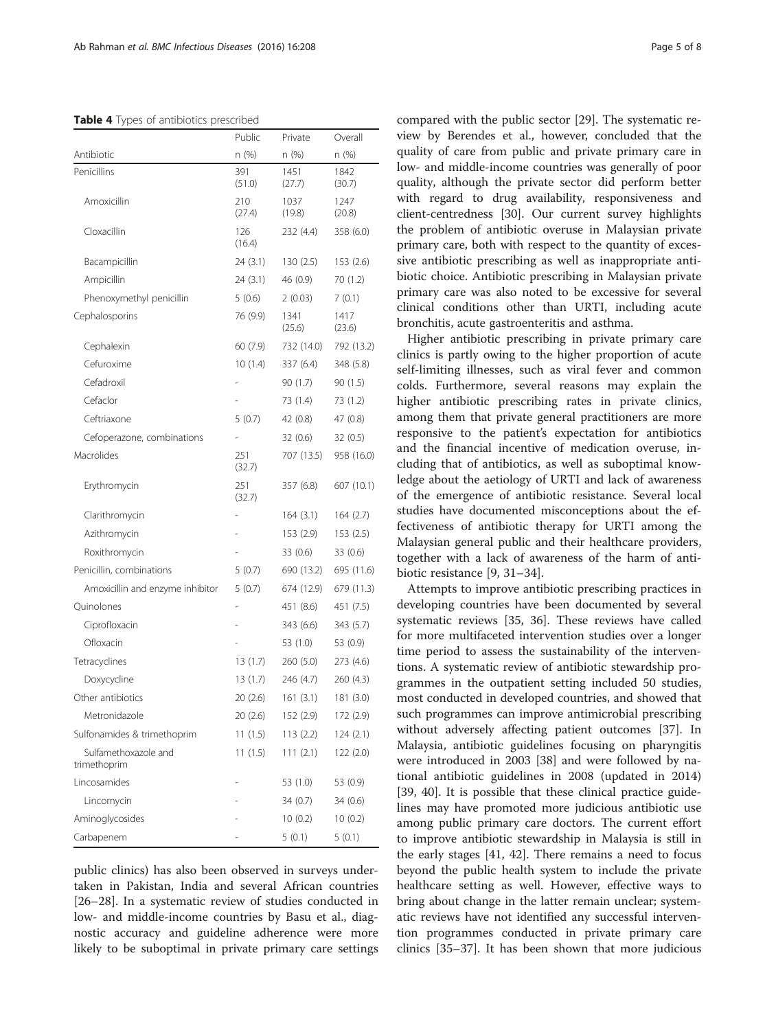#### <span id="page-4-0"></span>Table 4 Types of antibiotics prescribed

|                                      | Public        | Private        | Overall        |
|--------------------------------------|---------------|----------------|----------------|
| Antibiotic                           | n (%)         | n (%)          | n (%)          |
| Penicillins                          | 391<br>(51.0) | 1451<br>(27.7) | 1842<br>(30.7) |
| Amoxicillin                          | 210<br>(27.4) | 1037<br>(19.8) | 1247<br>(20.8) |
| Cloxacillin                          | 126<br>(16.4) | 232 (4.4)      | 358 (6.0)      |
| Bacampicillin                        | 24(3.1)       | 130(2.5)       | 153 (2.6)      |
| Ampicillin                           | 24(3.1)       | 46 (0.9)       | 70 (1.2)       |
| Phenoxymethyl penicillin             | 5(0.6)        | 2(0.03)        | 7(0.1)         |
| Cephalosporins                       | 76 (9.9)      | 1341<br>(25.6) | 1417<br>(23.6) |
| Cephalexin                           | 60(7.9)       | 732 (14.0)     | 792 (13.2)     |
| Cefuroxime                           | 10(1.4)       | 337 (6.4)      | 348 (5.8)      |
| Cefadroxil                           |               | 90 (1.7)       | 90 (1.5)       |
| Cefaclor                             |               | 73 (1.4)       | 73 (1.2)       |
| Ceftriaxone                          | 5(0.7)        | 42 (0.8)       | 47 (0.8)       |
| Cefoperazone, combinations           |               | 32 (0.6)       | 32 (0.5)       |
| Macrolides                           | 251<br>(32.7) | 707 (13.5)     | 958 (16.0)     |
| Erythromycin                         | 251<br>(32.7) | 357 (6.8)      | 607 (10.1)     |
| Clarithromycin                       |               | 164(3.1)       | 164(2.7)       |
| Azithromycin                         |               | 153 (2.9)      | 153(2.5)       |
| Roxithromycin                        |               | 33 (0.6)       | 33 (0.6)       |
| Penicillin, combinations             | 5(0.7)        | 690 (13.2)     | 695 (11.6)     |
| Amoxicillin and enzyme inhibitor     | 5(0.7)        | 674 (12.9)     | 679 (11.3)     |
| Quinolones                           |               | 451 (8.6)      | 451 (7.5)      |
| Ciprofloxacin                        |               | 343 (6.6)      | 343 (5.7)      |
| Ofloxacin                            |               | 53 (1.0)       | 53 (0.9)       |
| Tetracyclines                        | 13 (1.7)      | 260 (5.0)      | 273 (4.6)      |
| Doxycycline                          | 13(1.7)       | 246 (4.7)      | 260 (4.3)      |
| Other antibiotics                    | 20(2.6)       | 161(3.1)       | 181 (3.0)      |
| Metronidazole                        | 20 (2.6)      | 152 (2.9)      | 172 (2.9)      |
| Sulfonamides & trimethoprim          | 11(1.5)       | 113 (2.2)      | 124 (2.1)      |
| Sulfamethoxazole and<br>trimethoprim | 11(1.5)       | 111(2.1)       | 122 (2.0)      |
| Lincosamides                         |               | 53 (1.0)       | 53 (0.9)       |
| Lincomycin                           |               | 34 (0.7)       | 34 (0.6)       |
| Aminoglycosides                      |               | 10(0.2)        | 10(0.2)        |
| Carbapenem                           |               | 5(0.1)         | 5(0.1)         |

public clinics) has also been observed in surveys undertaken in Pakistan, India and several African countries [[26](#page-6-0)–[28](#page-6-0)]. In a systematic review of studies conducted in low- and middle-income countries by Basu et al., diagnostic accuracy and guideline adherence were more likely to be suboptimal in private primary care settings

compared with the public sector [\[29](#page-7-0)]. The systematic review by Berendes et al., however, concluded that the quality of care from public and private primary care in low- and middle-income countries was generally of poor quality, although the private sector did perform better with regard to drug availability, responsiveness and client-centredness [\[30](#page-7-0)]. Our current survey highlights the problem of antibiotic overuse in Malaysian private primary care, both with respect to the quantity of excessive antibiotic prescribing as well as inappropriate antibiotic choice. Antibiotic prescribing in Malaysian private primary care was also noted to be excessive for several clinical conditions other than URTI, including acute bronchitis, acute gastroenteritis and asthma.

Higher antibiotic prescribing in private primary care clinics is partly owing to the higher proportion of acute self-limiting illnesses, such as viral fever and common colds. Furthermore, several reasons may explain the higher antibiotic prescribing rates in private clinics, among them that private general practitioners are more responsive to the patient's expectation for antibiotics and the financial incentive of medication overuse, including that of antibiotics, as well as suboptimal knowledge about the aetiology of URTI and lack of awareness of the emergence of antibiotic resistance. Several local studies have documented misconceptions about the effectiveness of antibiotic therapy for URTI among the Malaysian general public and their healthcare providers, together with a lack of awareness of the harm of antibiotic resistance [[9,](#page-6-0) [31](#page-7-0)–[34](#page-7-0)].

Attempts to improve antibiotic prescribing practices in developing countries have been documented by several systematic reviews [\[35, 36\]](#page-7-0). These reviews have called for more multifaceted intervention studies over a longer time period to assess the sustainability of the interventions. A systematic review of antibiotic stewardship programmes in the outpatient setting included 50 studies, most conducted in developed countries, and showed that such programmes can improve antimicrobial prescribing without adversely affecting patient outcomes [[37\]](#page-7-0). In Malaysia, antibiotic guidelines focusing on pharyngitis were introduced in 2003 [[38](#page-7-0)] and were followed by national antibiotic guidelines in 2008 (updated in 2014) [[39, 40](#page-7-0)]. It is possible that these clinical practice guidelines may have promoted more judicious antibiotic use among public primary care doctors. The current effort to improve antibiotic stewardship in Malaysia is still in the early stages [\[41](#page-7-0), [42\]](#page-7-0). There remains a need to focus beyond the public health system to include the private healthcare setting as well. However, effective ways to bring about change in the latter remain unclear; systematic reviews have not identified any successful intervention programmes conducted in private primary care clinics [[35](#page-7-0)–[37](#page-7-0)]. It has been shown that more judicious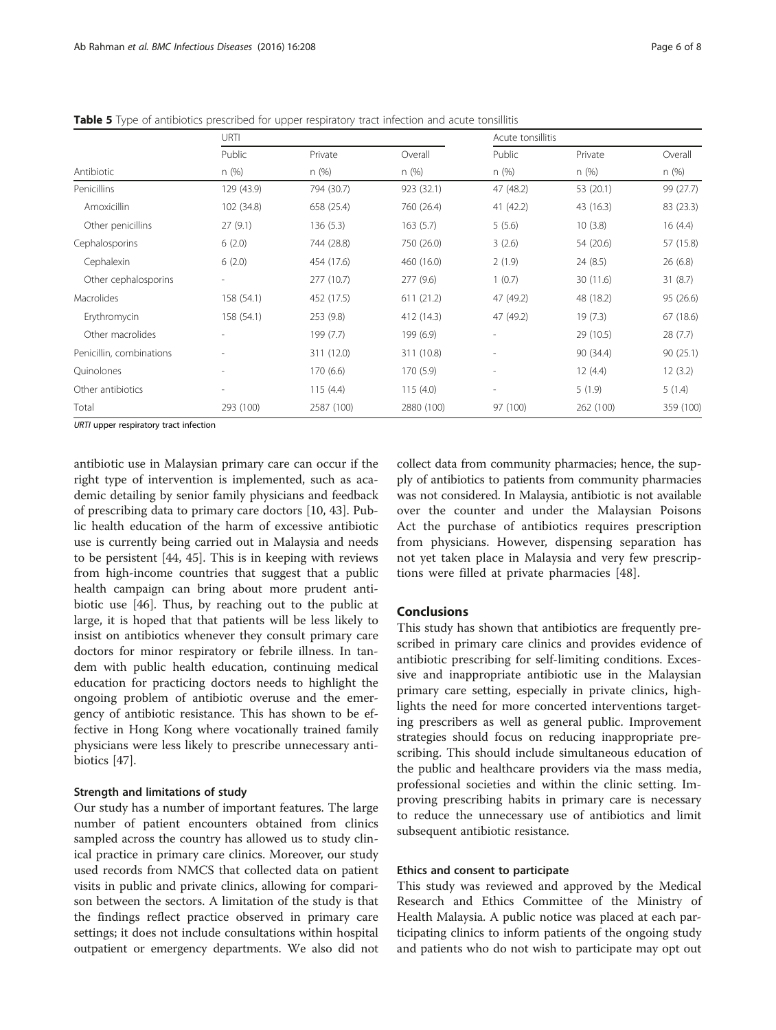|                          | URTI       |            |            | Acute tonsillitis        |           |           |
|--------------------------|------------|------------|------------|--------------------------|-----------|-----------|
|                          | Public     | Private    | Overall    | Public                   | Private   | Overall   |
| Antibiotic               | n(%)       | n(%)       | n(%)       | n(%)                     | n(%)      | n(%)      |
| Penicillins              | 129 (43.9) | 794 (30.7) | 923 (32.1) | 47 (48.2)                | 53 (20.1) | 99 (27.7) |
| Amoxicillin              | 102 (34.8) | 658 (25.4) | 760 (26.4) | 41 (42.2)                | 43 (16.3) | 83 (23.3) |
| Other penicillins        | 27(9.1)    | 136(5.3)   | 163(5.7)   | 5(5.6)                   | 10(3.8)   | 16(4.4)   |
| Cephalosporins           | 6(2.0)     | 744 (28.8) | 750 (26.0) | 3(2.6)                   | 54 (20.6) | 57 (15.8) |
| Cephalexin               | 6(2.0)     | 454 (17.6) | 460 (16.0) | 2(1.9)                   | 24 (8.5)  | 26(6.8)   |
| Other cephalosporins     |            | 277 (10.7) | 277(9.6)   | 1(0.7)                   | 30 (11.6) | 31(8.7)   |
| Macrolides               | 158 (54.1) | 452 (17.5) | 611(21.2)  | 47 (49.2)                | 48 (18.2) | 95 (26.6) |
| Erythromycin             | 158 (54.1) | 253 (9.8)  | 412 (14.3) | 47 (49.2)                | 19(7.3)   | 67 (18.6) |
| Other macrolides         |            | 199 (7.7)  | 199 (6.9)  | $\sim$                   | 29 (10.5) | 28(7.7)   |
| Penicillin, combinations |            | 311 (12.0) | 311 (10.8) | $\overline{\phantom{a}}$ | 90 (34.4) | 90(25.1)  |
| Quinolones               |            | 170(6.6)   | 170 (5.9)  | $\sim$                   | 12(4.4)   | 12(3.2)   |
| Other antibiotics        |            | 115(4.4)   | 115(4.0)   | $\overline{\phantom{a}}$ | 5(1.9)    | 5(1.4)    |
| Total                    | 293 (100)  | 2587 (100) | 2880 (100) | 97 (100)                 | 262 (100) | 359 (100) |

<span id="page-5-0"></span>Table 5 Type of antibiotics prescribed for upper respiratory tract infection and acute tonsillitis

URTI upper respiratory tract infection

antibiotic use in Malaysian primary care can occur if the right type of intervention is implemented, such as academic detailing by senior family physicians and feedback of prescribing data to primary care doctors [\[10](#page-6-0), [43\]](#page-7-0). Public health education of the harm of excessive antibiotic use is currently being carried out in Malaysia and needs to be persistent [\[44](#page-7-0), [45\]](#page-7-0). This is in keeping with reviews from high-income countries that suggest that a public health campaign can bring about more prudent antibiotic use [\[46\]](#page-7-0). Thus, by reaching out to the public at large, it is hoped that that patients will be less likely to insist on antibiotics whenever they consult primary care doctors for minor respiratory or febrile illness. In tandem with public health education, continuing medical education for practicing doctors needs to highlight the ongoing problem of antibiotic overuse and the emergency of antibiotic resistance. This has shown to be effective in Hong Kong where vocationally trained family physicians were less likely to prescribe unnecessary antibiotics [[47](#page-7-0)].

### Strength and limitations of study

Our study has a number of important features. The large number of patient encounters obtained from clinics sampled across the country has allowed us to study clinical practice in primary care clinics. Moreover, our study used records from NMCS that collected data on patient visits in public and private clinics, allowing for comparison between the sectors. A limitation of the study is that the findings reflect practice observed in primary care settings; it does not include consultations within hospital outpatient or emergency departments. We also did not collect data from community pharmacies; hence, the supply of antibiotics to patients from community pharmacies was not considered. In Malaysia, antibiotic is not available over the counter and under the Malaysian Poisons Act the purchase of antibiotics requires prescription from physicians. However, dispensing separation has not yet taken place in Malaysia and very few prescriptions were filled at private pharmacies [[48\]](#page-7-0).

## **Conclusions**

This study has shown that antibiotics are frequently prescribed in primary care clinics and provides evidence of antibiotic prescribing for self-limiting conditions. Excessive and inappropriate antibiotic use in the Malaysian primary care setting, especially in private clinics, highlights the need for more concerted interventions targeting prescribers as well as general public. Improvement strategies should focus on reducing inappropriate prescribing. This should include simultaneous education of the public and healthcare providers via the mass media, professional societies and within the clinic setting. Improving prescribing habits in primary care is necessary to reduce the unnecessary use of antibiotics and limit subsequent antibiotic resistance.

### Ethics and consent to participate

This study was reviewed and approved by the Medical Research and Ethics Committee of the Ministry of Health Malaysia. A public notice was placed at each participating clinics to inform patients of the ongoing study and patients who do not wish to participate may opt out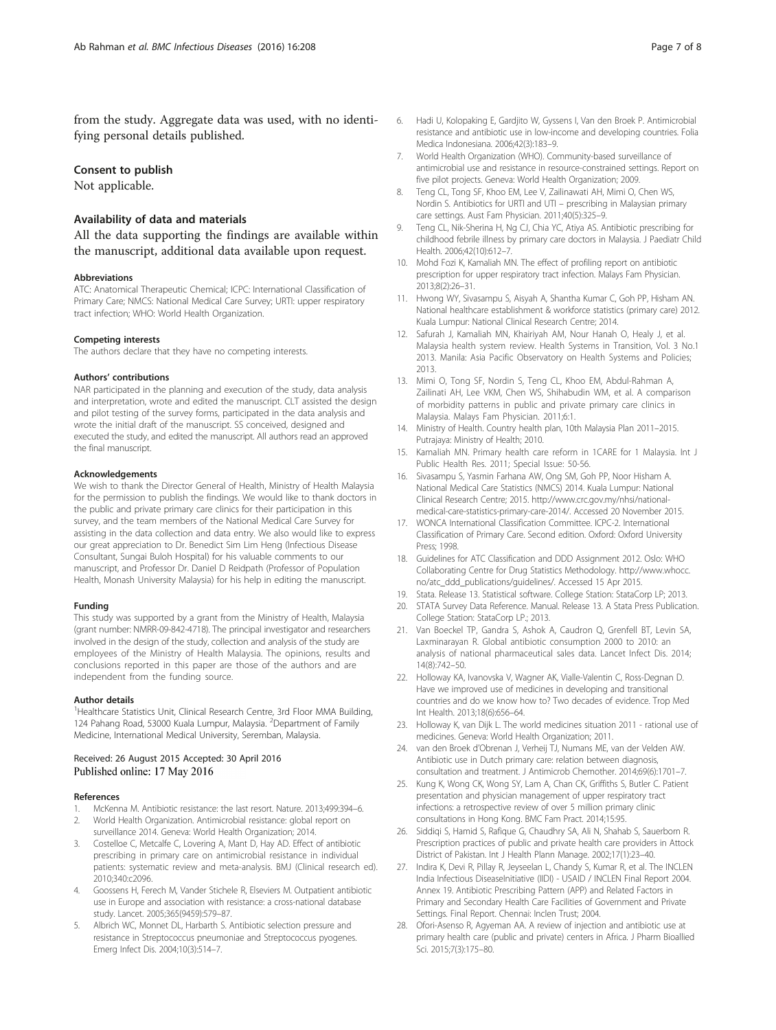<span id="page-6-0"></span>from the study. Aggregate data was used, with no identifying personal details published.

## Consent to publish

Not applicable.

## Availability of data and materials

All the data supporting the findings are available within the manuscript, additional data available upon request.

#### Abbreviations

ATC: Anatomical Therapeutic Chemical; ICPC: International Classification of Primary Care; NMCS: National Medical Care Survey; URTI: upper respiratory tract infection; WHO: World Health Organization.

#### Competing interests

The authors declare that they have no competing interests.

#### Authors' contributions

NAR participated in the planning and execution of the study, data analysis and interpretation, wrote and edited the manuscript. CLT assisted the design and pilot testing of the survey forms, participated in the data analysis and wrote the initial draft of the manuscript. SS conceived, designed and executed the study, and edited the manuscript. All authors read an approved the final manuscript.

#### Acknowledgements

We wish to thank the Director General of Health, Ministry of Health Malaysia for the permission to publish the findings. We would like to thank doctors in the public and private primary care clinics for their participation in this survey, and the team members of the National Medical Care Survey for assisting in the data collection and data entry. We also would like to express our great appreciation to Dr. Benedict Sim Lim Heng (Infectious Disease Consultant, Sungai Buloh Hospital) for his valuable comments to our manuscript, and Professor Dr. Daniel D Reidpath (Professor of Population Health, Monash University Malaysia) for his help in editing the manuscript.

#### Funding

This study was supported by a grant from the Ministry of Health, Malaysia (grant number: NMRR-09-842-4718). The principal investigator and researchers involved in the design of the study, collection and analysis of the study are employees of the Ministry of Health Malaysia. The opinions, results and conclusions reported in this paper are those of the authors and are independent from the funding source.

#### Author details

<sup>1</sup> Healthcare Statistics Unit, Clinical Research Centre, 3rd Floor MMA Building, 124 Pahang Road, 53000 Kuala Lumpur, Malaysia. <sup>2</sup>Department of Family Medicine, International Medical University, Seremban, Malaysia.

#### Received: 26 August 2015 Accepted: 30 April 2016 Published online: 17 May 2016

#### References

- McKenna M. Antibiotic resistance: the last resort. Nature. 2013;499:394-6. 2. World Health Organization. Antimicrobial resistance: global report on
- surveillance 2014. Geneva: World Health Organization; 2014. Costelloe C, Metcalfe C, Lovering A, Mant D, Hay AD. Effect of antibiotic prescribing in primary care on antimicrobial resistance in individual patients: systematic review and meta-analysis. BMJ (Clinical research ed).
- 2010;340:c2096. 4. Goossens H, Ferech M, Vander Stichele R, Elseviers M. Outpatient antibiotic use in Europe and association with resistance: a cross-national database study. Lancet. 2005;365(9459):579–87.
- 5. Albrich WC, Monnet DL, Harbarth S. Antibiotic selection pressure and resistance in Streptococcus pneumoniae and Streptococcus pyogenes. Emerg Infect Dis. 2004;10(3):514–7.
- 6. Hadi U, Kolopaking E, Gardjito W, Gyssens I, Van den Broek P. Antimicrobial resistance and antibiotic use in low-income and developing countries. Folia Medica Indonesiana. 2006;42(3):183–9.
- 7. World Health Organization (WHO). Community-based surveillance of antimicrobial use and resistance in resource-constrained settings. Report on five pilot projects. Geneva: World Health Organization; 2009.
- Teng CL, Tong SF, Khoo EM, Lee V, Zailinawati AH, Mimi O, Chen WS, Nordin S. Antibiotics for URTI and UTI – prescribing in Malaysian primary care settings. Aust Fam Physician. 2011;40(5):325–9.
- 9. Teng CL, Nik-Sherina H, Ng CJ, Chia YC, Atiya AS. Antibiotic prescribing for childhood febrile illness by primary care doctors in Malaysia. J Paediatr Child Health. 2006;42(10):612–7.
- 10. Mohd Fozi K, Kamaliah MN. The effect of profiling report on antibiotic prescription for upper respiratory tract infection. Malays Fam Physician. 2013;8(2):26–31.
- 11. Hwong WY, Sivasampu S, Aisyah A, Shantha Kumar C, Goh PP, Hisham AN. National healthcare establishment & workforce statistics (primary care) 2012. Kuala Lumpur: National Clinical Research Centre; 2014.
- 12. Safurah J, Kamaliah MN, Khairiyah AM, Nour Hanah O, Healy J, et al. Malaysia health system review. Health Systems in Transition, Vol. 3 No.1 2013. Manila: Asia Pacific Observatory on Health Systems and Policies; 2013.
- 13. Mimi O, Tong SF, Nordin S, Teng CL, Khoo EM, Abdul-Rahman A, Zailinati AH, Lee VKM, Chen WS, Shihabudin WM, et al. A comparison of morbidity patterns in public and private primary care clinics in Malaysia. Malays Fam Physician. 2011;6:1.
- 14. Ministry of Health. Country health plan, 10th Malaysia Plan 2011–2015. Putrajaya: Ministry of Health; 2010.
- 15. Kamaliah MN. Primary health care reform in 1CARE for 1 Malaysia. Int J Public Health Res. 2011; Special Issue: 50-56.
- 16. Sivasampu S, Yasmin Farhana AW, Ong SM, Goh PP, Noor Hisham A. National Medical Care Statistics (NMCS) 2014. Kuala Lumpur: National Clinical Research Centre; 2015. [http://www.crc.gov.my/nhsi/national](http://www.crc.gov.my/nhsi/national-medical-care-statistics-primary-care-2014/)[medical-care-statistics-primary-care-2014/](http://www.crc.gov.my/nhsi/national-medical-care-statistics-primary-care-2014/). Accessed 20 November 2015.
- 17. WONCA International Classification Committee. ICPC-2. International Classification of Primary Care. Second edition. Oxford: Oxford University Press; 1998.
- 18. Guidelines for ATC Classification and DDD Assignment 2012. Oslo: WHO Collaborating Centre for Drug Statistics Methodology. [http://www.whocc.](http://www.whocc.no/atc_ddd_publications/guidelines/) [no/atc\\_ddd\\_publications/guidelines/](http://www.whocc.no/atc_ddd_publications/guidelines/). Accessed 15 Apr 2015.
- 19. Stata. Release 13. Statistical software. College Station: StataCorp LP; 2013.
- 20. STATA Survey Data Reference. Manual. Release 13. A Stata Press Publication. College Station: StataCorp LP.; 2013.
- 21. Van Boeckel TP, Gandra S, Ashok A, Caudron Q, Grenfell BT, Levin SA, Laxminarayan R. Global antibiotic consumption 2000 to 2010: an analysis of national pharmaceutical sales data. Lancet Infect Dis. 2014; 14(8):742–50.
- 22. Holloway KA, Ivanovska V, Wagner AK, Vialle-Valentin C, Ross-Degnan D. Have we improved use of medicines in developing and transitional countries and do we know how to? Two decades of evidence. Trop Med Int Health. 2013;18(6):656–64.
- 23. Holloway K, van Dijk L. The world medicines situation 2011 rational use of medicines. Geneva: World Health Organization; 2011.
- 24. van den Broek d'Obrenan J, Verheij TJ, Numans ME, van der Velden AW. Antibiotic use in Dutch primary care: relation between diagnosis, consultation and treatment. J Antimicrob Chemother. 2014;69(6):1701–7.
- 25. Kung K, Wong CK, Wong SY, Lam A, Chan CK, Griffiths S, Butler C. Patient presentation and physician management of upper respiratory tract infections: a retrospective review of over 5 million primary clinic consultations in Hong Kong. BMC Fam Pract. 2014;15:95.
- 26. Siddiqi S, Hamid S, Rafique G, Chaudhry SA, Ali N, Shahab S, Sauerborn R. Prescription practices of public and private health care providers in Attock District of Pakistan. Int J Health Plann Manage. 2002;17(1):23–40.
- 27. Indira K, Devi R, Pillay R, Jeyseelan L, Chandy S, Kumar R, et al. The INCLEN India Infectious DiseaseInitiative (IIDI) - USAID / INCLEN Final Report 2004. Annex 19. Antibiotic Prescribing Pattern (APP) and Related Factors in Primary and Secondary Health Care Facilities of Government and Private Settings. Final Report. Chennai: Inclen Trust; 2004.
- 28. Ofori-Asenso R, Agyeman AA. A review of injection and antibiotic use at primary health care (public and private) centers in Africa. J Pharm Bioallied Sci. 2015;7(3):175–80.